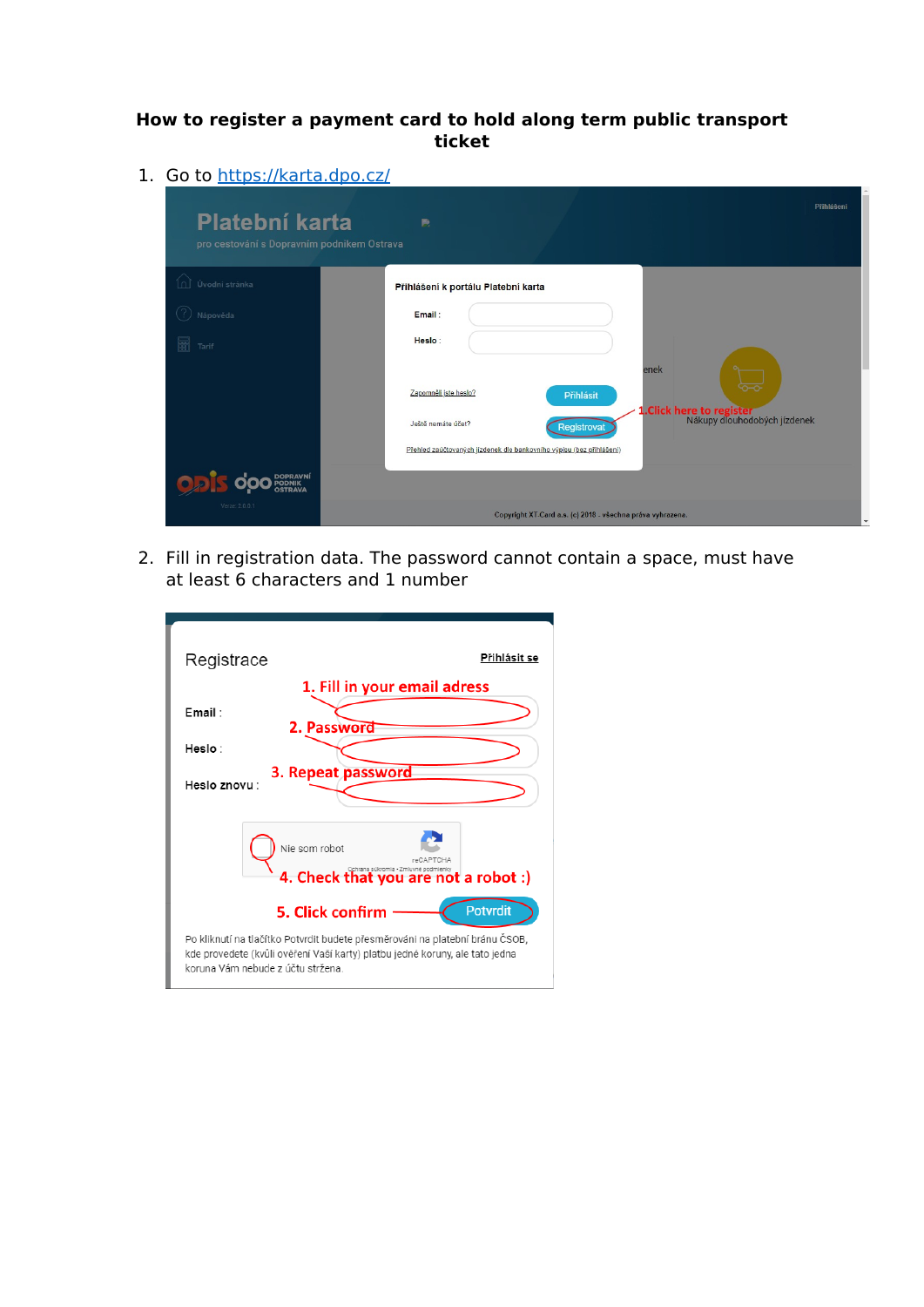## **How to register a payment card to hold along term public transport ticket**

1. Go to<https://karta.dpo.cz/>

| Platební karta<br>pro cestování s Dopravním podnikem Ostrava | B.                                                                                                                                   |
|--------------------------------------------------------------|--------------------------------------------------------------------------------------------------------------------------------------|
| Úvodní stránka                                               | Přihlášení k portálu Platební karta                                                                                                  |
| Nápověda                                                     | Email:                                                                                                                               |
| 圖<br>Tarif                                                   | Heslo:<br>enek                                                                                                                       |
|                                                              | Zapomněli jste heslo?<br>Přihlásit<br>1. Click here to register<br>Nákupy dlouhodobých jízdenek<br>Ještě nemáte účet?<br>Registrovat |
|                                                              | Přehled zaúčtovaných jízdenek dle bankovního výpisu (bez přihlášení)                                                                 |
|                                                              |                                                                                                                                      |
| Verze: 2.0.0.1                                               | Copyright XT-Card a.s. (c) 2018 - všechna práva vyhrazena.                                                                           |

2. Fill in registration data. The password cannot contain a space, must have at least 6 characters and 1 number

| Přihlásit se<br>Registrace                                                                                                                                                                        |  |  |  |  |  |
|---------------------------------------------------------------------------------------------------------------------------------------------------------------------------------------------------|--|--|--|--|--|
| 1. Fill in your email adress                                                                                                                                                                      |  |  |  |  |  |
| Fmail :<br>2. Password                                                                                                                                                                            |  |  |  |  |  |
| Heslo:                                                                                                                                                                                            |  |  |  |  |  |
| 3. Repeat password<br>Heslo znovu:                                                                                                                                                                |  |  |  |  |  |
| Nie som robot<br>4. Check that you are not a robot :)                                                                                                                                             |  |  |  |  |  |
| <b>Potvrdit</b><br>5. Click confirm                                                                                                                                                               |  |  |  |  |  |
| Po kliknutí na tlačítko Potvrdit budete přesměrováni na platební bránu ČSOB,<br>kde provedete (kvůli ověření Vaší karty) platbu jedné koruny, ale tato jedna<br>koruna Vám nebude z účtu stržena. |  |  |  |  |  |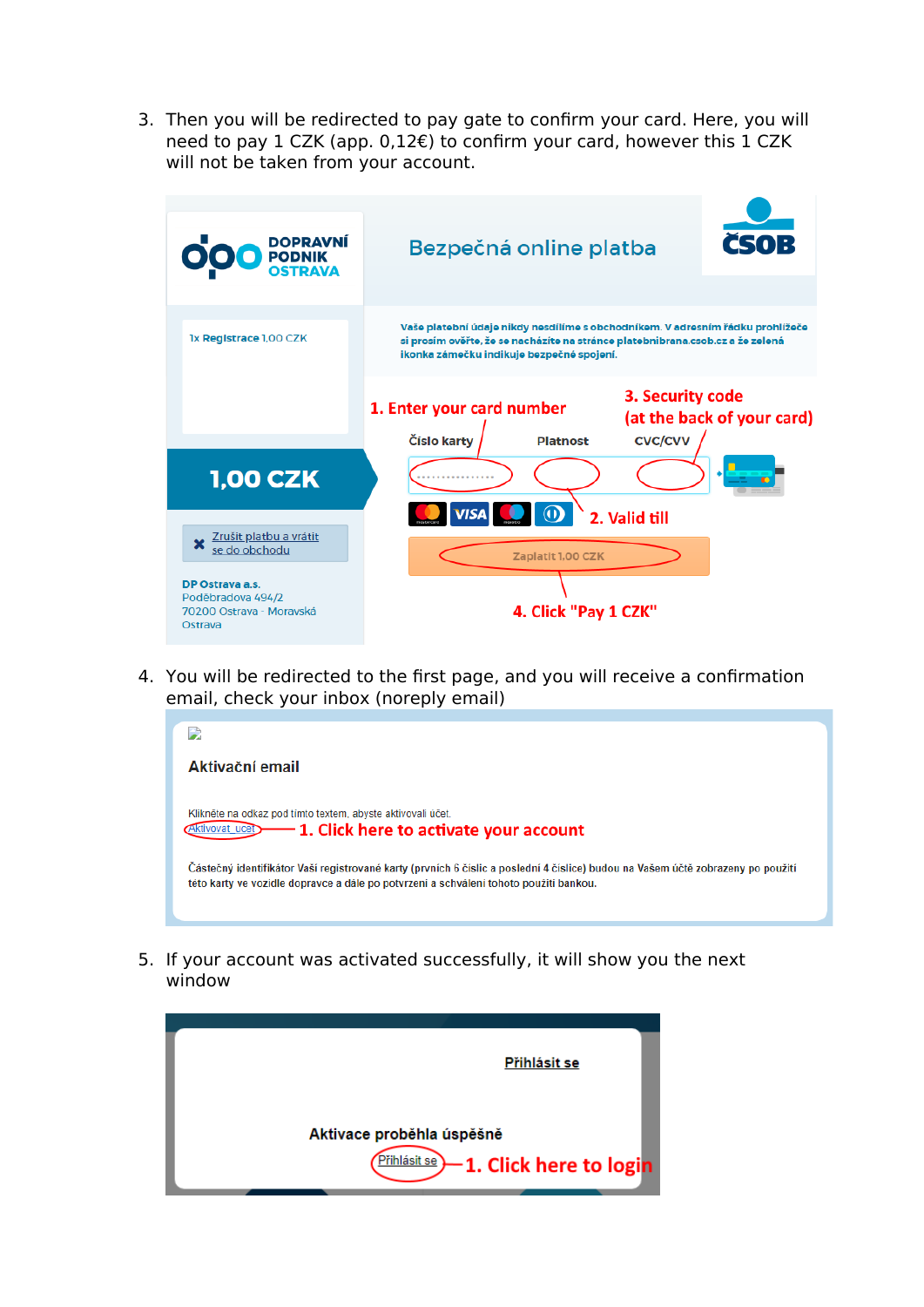3. Then you will be redirected to pay gate to confirm your card. Here, you will need to pay 1 CZK (app. 0,12€) to confirm your card, however this 1 CZK will not be taken from your account.



4. You will be redirected to the first page, and you will receive a confirmation email, check your inbox (noreply email)



5. If your account was activated successfully, it will show you the next window

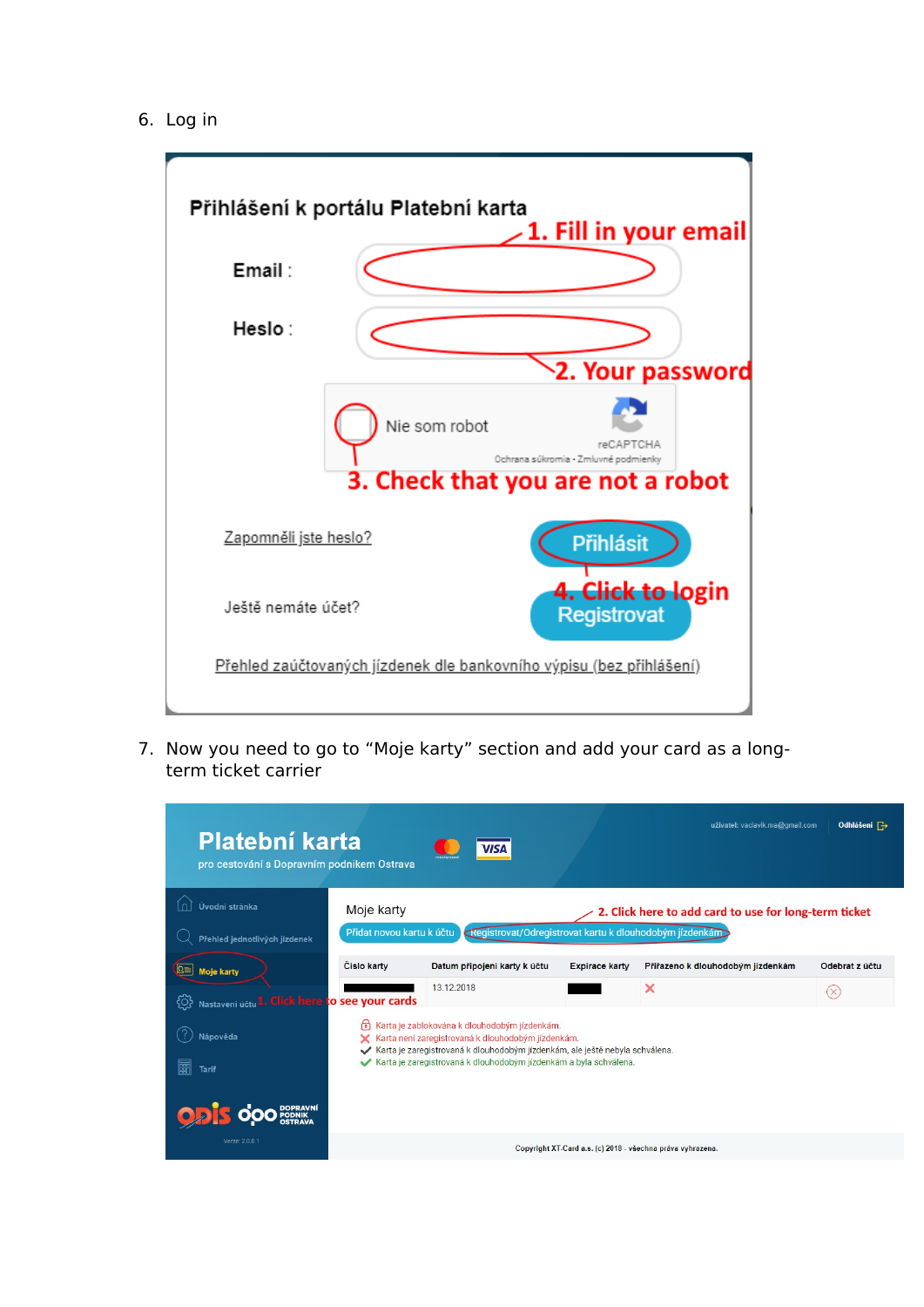6. Log in



7. Now you need to go to "Moje karty" section and add your card as a longterm ticket carrier

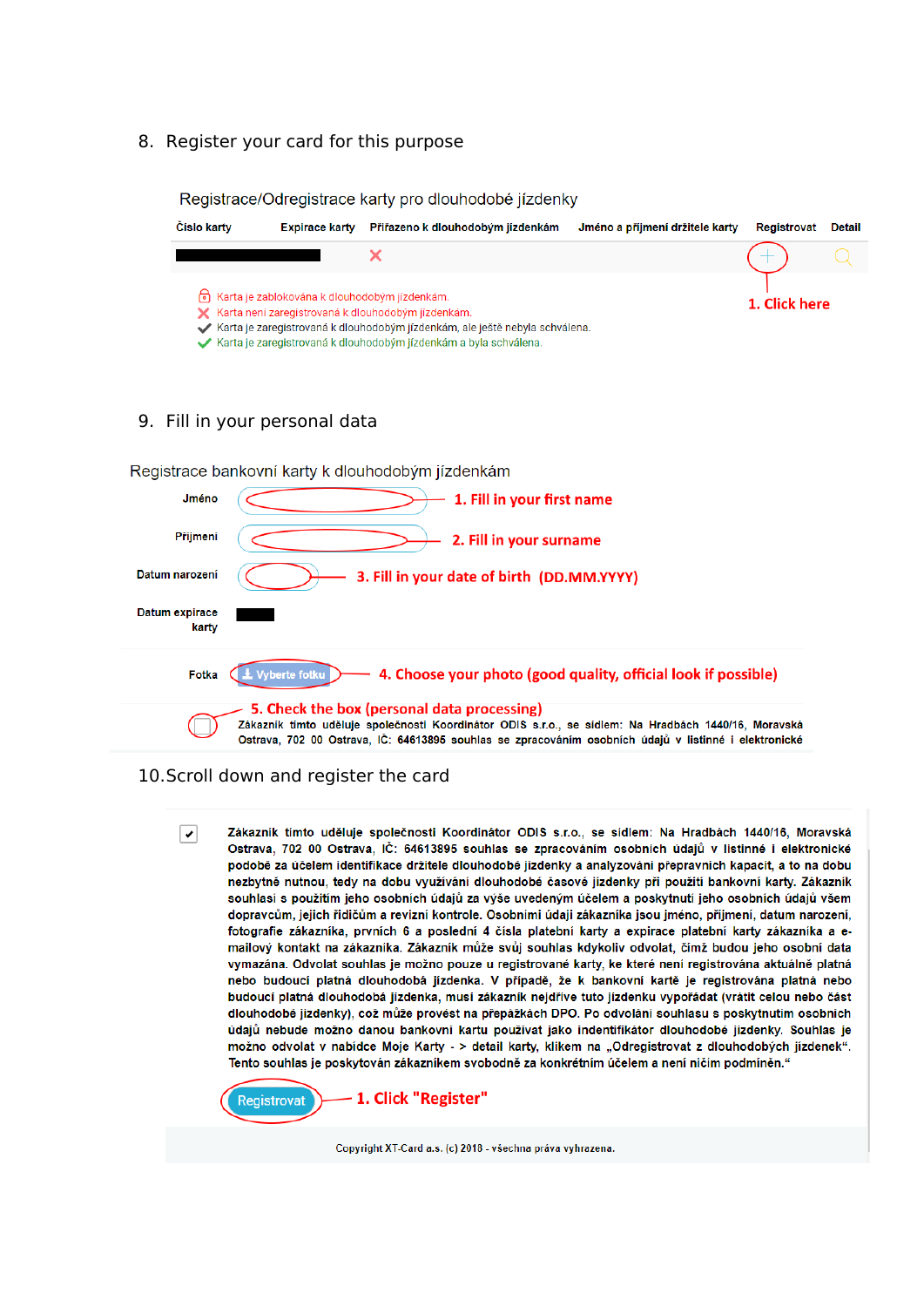8. Register your card for this purpose

|                | Registrace/Odregistrace karty pro dlouhodobé jízdenky |                                                 |                                                                                                                                                                                                                                                              |                                 |               |        |  |  |  |
|----------------|-------------------------------------------------------|-------------------------------------------------|--------------------------------------------------------------------------------------------------------------------------------------------------------------------------------------------------------------------------------------------------------------|---------------------------------|---------------|--------|--|--|--|
|                | Číslo karty                                           | <b>Expirace karty</b>                           | Přiřazeno k dlouhodobým jízdenkám                                                                                                                                                                                                                            | Jméno a příjmení držitele karty | Registrovat   | Detail |  |  |  |
|                |                                                       |                                                 | X                                                                                                                                                                                                                                                            |                                 |               |        |  |  |  |
|                |                                                       | h Karta je zablokována k dlouhodobým jízdenkám. | X Karta není zaregistrovaná k dlouhodobým jízdenkám.<br>Karta je zaregistrovaná k dlouhodobým jízdenkám, ale ještě nebyla schválena.<br>Karta je zaregistrovaná k dlouhodobým jízdenkám a byla schválena.                                                    |                                 | 1. Click here |        |  |  |  |
|                | 9. Fill in your personal data                         |                                                 |                                                                                                                                                                                                                                                              |                                 |               |        |  |  |  |
|                |                                                       |                                                 | Registrace bankovní karty k dlouhodobým jízdenkám                                                                                                                                                                                                            |                                 |               |        |  |  |  |
|                | Jméno                                                 |                                                 | 1. Fill in your first name                                                                                                                                                                                                                                   |                                 |               |        |  |  |  |
|                | Příjmení                                              |                                                 | 2. Fill in your surname                                                                                                                                                                                                                                      |                                 |               |        |  |  |  |
| Datum narození |                                                       |                                                 | 3. Fill in your date of birth (DD.MM.YYYY)                                                                                                                                                                                                                   |                                 |               |        |  |  |  |
| Datum expirace | karty                                                 |                                                 |                                                                                                                                                                                                                                                              |                                 |               |        |  |  |  |
|                | Fotka                                                 | Vyberte fotku                                   | 4. Choose your photo (good quality, official look if possible)                                                                                                                                                                                               |                                 |               |        |  |  |  |
|                |                                                       |                                                 | 5. Check the box (personal data processing)<br>Zákazník tímto uděluje společnosti Koordinátor ODIS s.r.o., se sídlem: Na Hradbách 1440/16, Moravská<br>Ostrava, 702 00 Ostrava, IČ: 64613895 souhlas se zpracováním osobních údajů v listinné i elektronické |                                 |               |        |  |  |  |

## 10.Scroll down and register the card

Zákazník tímto uděluje společnosti Koordinátor ODIS s.r.o., se sídlem: Na Hradbách 1440/16, Moravská  $\overline{\phantom{a}}$ Ostrava, 702 00 Ostrava, IČ: 64613895 souhlas se zpracováním osobních údajů v listinné i elektronické podobě za účelem identifikace držitele dlouhodobé jízdenky a analyzování přepravních kapacit, a to na dobu nezbytně nutnou, tedy na dobu využívání dlouhodobé časové jízdenky při použití bankovní karty. Zákazník souhlasí s použitím jeho osobních údajů za výše uvedeným účelem a poskytnutí jeho osobních údajů všem dopravcům, jejich řidičům a revizní kontrole. Osobními údaji zákazníka jsou jméno, příjmení, datum narození, fotografie zákazníka, prvních 6 a poslední 4 čísla platební karty a expirace platební karty zákazníka a emailový kontakt na zákazníka. Zákazník může svůj souhlas kdykoliv odvolat, čímž budou jeho osobní data vymazána. Odvolat souhlas je možno pouze u registrované karty, ke které není registrována aktuálně platná nebo budoucí platná dlouhodobá jízdenka. V případě, že k bankovní kartě je registrována platná nebo budoucí platná dlouhodobá jízdenka, musí zákazník nejdříve tuto jízdenku vypořádat (vrátit celou nebo část dlouhodobé jízdenky), což může provést na přepážkách DPO. Po odvolání souhlasu s poskytnutím osobních údajů nebude možno danou bankovní kartu používat jako indentifikátor dlouhodobé jízdenky. Souhlas je možno odvolat v nabídce Moje Karty - > detail karty, klikem na "Odregistrovat z dlouhodobých jízdenek". Tento souhlas je poskytován zákazníkem svobodně za konkrétním účelem a není ničím podmíněn."



Copyright XT-Card a.s. (c) 2018 - všechna práva vyhrazena.